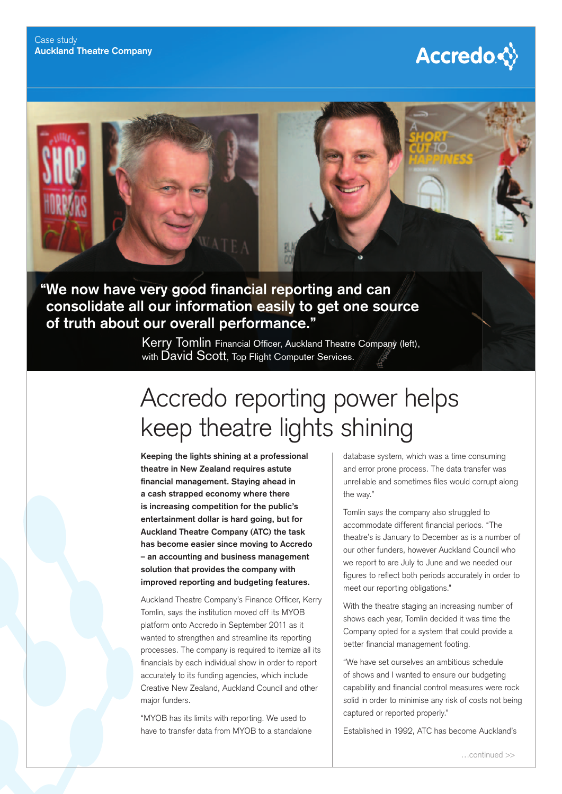



Kerry Tomlin Financial Officer, Auckland Theatre Company (left), with David Scott. Top Flight Computer Services.

## Accredo reporting power helps keep theatre lights shining

**Keeping the lights shining at a professional theatre in New Zealand requires astute**  financial management. Staying ahead in **a cash strapped economy where there is increasing competition for the public's entertainment dollar is hard going, but for Auckland Theatre Company (ATC) the task has become easier since moving to Accredo – an accounting and business management solution that provides the company with improved reporting and budgeting features.**

Auckland Theatre Company's Finance Officer, Kerry Tomlin, says the institution moved off its MYOB platform onto Accredo in September 2011 as it wanted to strengthen and streamline its reporting processes. The company is required to itemize all its financials by each individual show in order to report accurately to its funding agencies, which include Creative New Zealand, Auckland Council and other major funders.

"MYOB has its limits with reporting. We used to have to transfer data from MYOB to a standalone database system, which was a time consuming and error prone process. The data transfer was unreliable and sometimes files would corrupt along the way."

Tomlin says the company also struggled to accommodate different financial periods. "The theatre's is January to December as is a number of our other funders, however Auckland Council who we report to are July to June and we needed our figures to reflect both periods accurately in order to meet our reporting obligations."

With the theatre staging an increasing number of shows each year, Tomlin decided it was time the Company opted for a system that could provide a better financial management footing.

"We have set ourselves an ambitious schedule of shows and I wanted to ensure our budgeting capability and financial control measures were rock solid in order to minimise any risk of costs not being captured or reported properly."

Established in 1992, ATC has become Auckland's